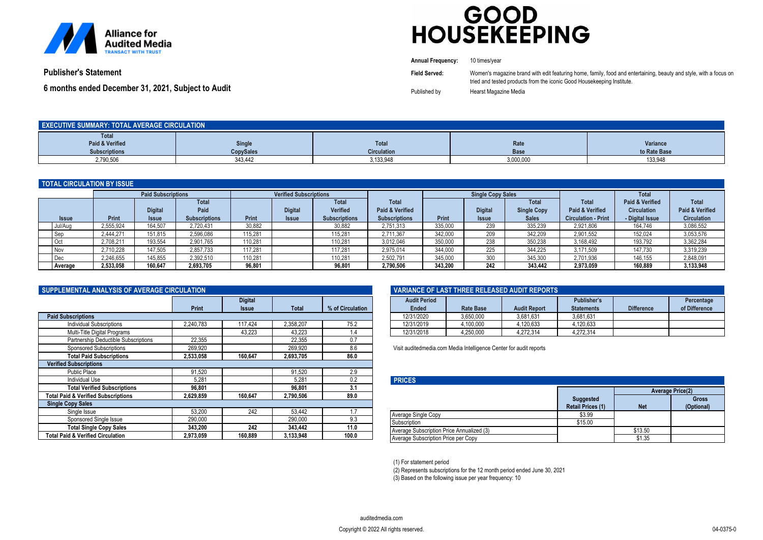

# GOOD<br>HOUSEKEEPING

|                                                    | <b>Annual Frequency:</b> | 10 times/vear                                                                                                     |
|----------------------------------------------------|--------------------------|-------------------------------------------------------------------------------------------------------------------|
| <b>Publisher's Statement</b>                       | Field Served:            | Women's magazine brand with edit featuring home, family, food and entertaining, beauty and style, with a focus on |
|                                                    |                          | tried and tested products from the iconic Good Housekeeping Institute.                                            |
| 6 months ended December 31, 2021, Subject to Audit | Published by             | Hearst Magazine Media                                                                                             |

| <b>EXECUTIVE SUMMARY: TOTAL AVERAGE CIRCULATION</b> |                  |                    |           |              |  |  |
|-----------------------------------------------------|------------------|--------------------|-----------|--------------|--|--|
| <b>Total</b>                                        |                  |                    |           |              |  |  |
| Paid & Verified                                     | <b>Single</b>    | <b>Total</b>       | Rate      | Variance     |  |  |
| <b>Subscriptions</b>                                | <b>CopySales</b> | <b>Circulation</b> | Base      | to Rate Base |  |  |
| 2,790,506                                           | 343,442          | ,133,948           | 3,000,000 | 133,948      |  |  |

| <b>TOTAL CIRCULATION BY ISSUE</b> |           |                                |                              |         |                                |                                         |                                         |                          |                                |                                    |                                               |                                       |                                       |
|-----------------------------------|-----------|--------------------------------|------------------------------|---------|--------------------------------|-----------------------------------------|-----------------------------------------|--------------------------|--------------------------------|------------------------------------|-----------------------------------------------|---------------------------------------|---------------------------------------|
|                                   |           | <b>Paid Subscriptions</b>      |                              |         | <b>Verified Subscriptions</b>  |                                         |                                         | <b>Single Copy Sales</b> |                                |                                    |                                               | <b>Total</b>                          |                                       |
|                                   |           |                                | <b>Total</b>                 |         |                                | <b>Total</b>                            | Total                                   |                          |                                | <b>Total</b>                       | <b>Total</b>                                  | <b>Paid &amp; Verified</b>            | <b>Total</b>                          |
| <b>Issue</b>                      | Print     | <b>Digital</b><br><b>Issue</b> | Paid<br><b>Subscriptions</b> | Print   | <b>Digital</b><br><b>Issue</b> | <b>Verified</b><br><b>Subscriptions</b> | Paid & Verified<br><b>Subscriptions</b> | Print                    | <b>Digital</b><br><b>Issue</b> | <b>Single Copy</b><br><b>Sales</b> | Paid & Verified<br><b>Circulation - Print</b> | <b>Circulation</b><br>- Digital Issue | Paid & Verified<br><b>Circulation</b> |
| Jul/Aug                           | 2.555.924 | 164.507                        | 2.720.431                    | 30,882  |                                | 30,882                                  | 2,751,313                               | 335,000                  | 239                            | 335.239                            | 2,921,806                                     | 164.746                               | 3,086,552                             |
| Sep                               | 2.444.271 | 151.815                        | 2,596,086                    | 115.281 |                                | 115.281                                 | 2.711.367                               | 342,000                  | 209                            | 342.209                            | 2,901,552                                     | 152.024                               | 3,053,576                             |
| Oct                               | 2,708,211 | 193.554                        | 2,901,765                    | 110.281 |                                | 110.281                                 | 3,012,046                               | 350,000                  | 238                            | 350,238                            | 3,168,492                                     | 193,792                               | 3,362,284                             |
| <b>Nov</b>                        | 2.710.228 | 147.505                        | 2.857.733                    | 117.281 |                                | 117.281                                 | 2.975.014                               | 344.000                  | 225                            | 344.225                            | 3.171.509                                     | 147.730                               | 3,319,239                             |
| I Dec                             | 2,246,655 | 145,855                        | 2,392,510                    | 10,281  |                                | 110,281                                 | 2,502,791                               | 345,000                  | 300                            | 345,300                            | 2,701,936                                     | 146,155                               | 2,848,091                             |
| <b>Average</b>                    | 2.533.058 | 160.647                        | 2.693.705                    | 96.801  |                                | 96.801                                  | 2.790.506                               | 343.200                  | 242                            | 343.442                            | 2.973.059                                     | 160.889                               | 3.133.948                             |

| SUPPLEMENTAL ANALYSIS OF AVERAGE CIRCULATION |              |                                |           |                  |  |  |
|----------------------------------------------|--------------|--------------------------------|-----------|------------------|--|--|
|                                              | <b>Print</b> | <b>Digital</b><br><b>Issue</b> | Total     | % of Circulation |  |  |
| <b>Paid Subscriptions</b>                    |              |                                |           |                  |  |  |
| Individual Subscriptions                     | 2.240.783    | 117,424                        | 2,358,207 | 75.2             |  |  |
| Multi-Title Digital Programs                 |              | 43,223                         | 43,223    | 1.4              |  |  |
| Partnership Deductible Subscriptions         | 22,355       |                                | 22,355    | 0.7              |  |  |
| <b>Sponsored Subscriptions</b>               | 269,920      |                                | 269,920   | 8.6              |  |  |
| <b>Total Paid Subscriptions</b>              | 2,533,058    | 160.647                        | 2,693,705 | 86.0             |  |  |
| <b>Verified Subscriptions</b>                |              |                                |           |                  |  |  |
| Public Place                                 | 91,520       |                                | 91,520    | 2.9              |  |  |
| <b>Individual Use</b>                        | 5,281        |                                | 5,281     | 0.2              |  |  |
| <b>Total Verified Subscriptions</b>          | 96,801       |                                | 96,801    | 3.1              |  |  |
| Total Paid & Verified Subscriptions          | 2,629,859    | 160.647                        | 2,790,506 | 89.0             |  |  |
| <b>Single Copy Sales</b>                     |              |                                |           |                  |  |  |
| Single Issue                                 | 53.200       | 242                            | 53,442    | 1.7              |  |  |
| Sponsored Single Issue                       | 290,000      |                                | 290,000   | 9.3              |  |  |
| <b>Total Single Copy Sales</b>               | 343,200      | 242                            | 343,442   | 11.0             |  |  |
| <b>Total Paid &amp; Verified Circulation</b> | 2.973.059    | 160.889                        | 3,133,948 | 100.0            |  |  |

| VARIANCE OF LAST THREE RELEASED AUDIT REPORTS |                  |                     |                                  |                   |                             |
|-----------------------------------------------|------------------|---------------------|----------------------------------|-------------------|-----------------------------|
| <b>Audit Period</b><br>Ended                  | <b>Rate Base</b> | <b>Audit Report</b> | Publisher's<br><b>Statements</b> | <b>Difference</b> | Percentage<br>of Difference |
| 12/31/2020                                    | 3.650.000        | 3.681.631           | 3.681.631                        |                   |                             |
| 12/31/2019                                    | 4.100.000        | 4.120.633           | 4.120.633                        |                   |                             |
| 12/31/2018                                    | 4.250.000        | 4.272.314           | 4.272.314                        |                   |                             |

Visit auditedmedia.com Media Intelligence Center for audit reports

| <b>PRICES</b>                             |                                              |                         |                            |  |  |
|-------------------------------------------|----------------------------------------------|-------------------------|----------------------------|--|--|
|                                           |                                              | <b>Average Price(2)</b> |                            |  |  |
|                                           | <b>Suggested</b><br><b>Retail Prices (1)</b> | <b>Net</b>              | <b>Gross</b><br>(Optional) |  |  |
| Average Single Copy                       | \$3.99                                       |                         |                            |  |  |
| Subscription                              | \$15.00                                      |                         |                            |  |  |
| Average Subscription Price Annualized (3) |                                              | \$13.50                 |                            |  |  |
| Average Subscription Price per Copy       |                                              | \$1.35                  |                            |  |  |

(1) For statement period

(2) Represents subscriptions for the 12 month period ended June 30, 2021

(3) Based on the following issue per year frequency: 10

*Copyright © 2022 All rights reserved. 04-0375-0*